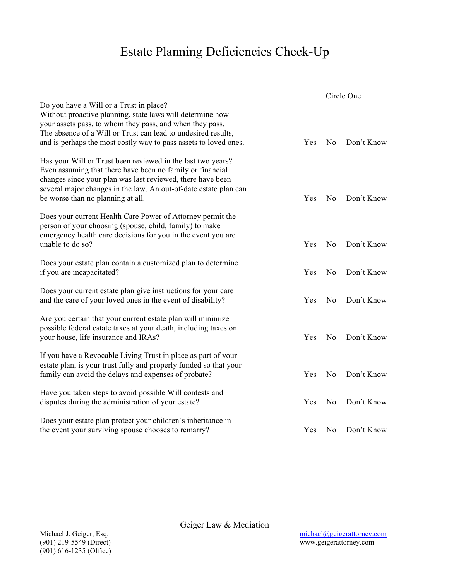## Estate Planning Deficiencies Check-Up

|                                                                                                                                                                                                                                                                                                       |     | Circle One     |            |
|-------------------------------------------------------------------------------------------------------------------------------------------------------------------------------------------------------------------------------------------------------------------------------------------------------|-----|----------------|------------|
| Do you have a Will or a Trust in place?<br>Without proactive planning, state laws will determine how<br>your assets pass, to whom they pass, and when they pass.<br>The absence of a Will or Trust can lead to undesired results,<br>and is perhaps the most costly way to pass assets to loved ones. | Yes | N <sub>0</sub> | Don't Know |
| Has your Will or Trust been reviewed in the last two years?<br>Even assuming that there have been no family or financial<br>changes since your plan was last reviewed, there have been<br>several major changes in the law. An out-of-date estate plan can<br>be worse than no planning at all.       | Yes | N <sub>0</sub> | Don't Know |
| Does your current Health Care Power of Attorney permit the<br>person of your choosing (spouse, child, family) to make<br>emergency health care decisions for you in the event you are<br>unable to do so?                                                                                             | Yes | N <sub>0</sub> | Don't Know |
| Does your estate plan contain a customized plan to determine<br>if you are incapacitated?                                                                                                                                                                                                             | Yes | N <sub>o</sub> | Don't Know |
| Does your current estate plan give instructions for your care<br>and the care of your loved ones in the event of disability?                                                                                                                                                                          | Yes | No             | Don't Know |
| Are you certain that your current estate plan will minimize<br>possible federal estate taxes at your death, including taxes on<br>your house, life insurance and IRAs?                                                                                                                                | Yes | N <sub>0</sub> | Don't Know |
| If you have a Revocable Living Trust in place as part of your<br>estate plan, is your trust fully and properly funded so that your<br>family can avoid the delays and expenses of probate?                                                                                                            | Yes | N <sub>0</sub> | Don't Know |
| Have you taken steps to avoid possible Will contests and<br>disputes during the administration of your estate?                                                                                                                                                                                        | Yes | N <sub>0</sub> | Don't Know |
| Does your estate plan protect your children's inheritance in<br>the event your surviving spouse chooses to remarry?                                                                                                                                                                                   | Yes | N <sub>0</sub> | Don't Know |

Geiger Law & Mediation